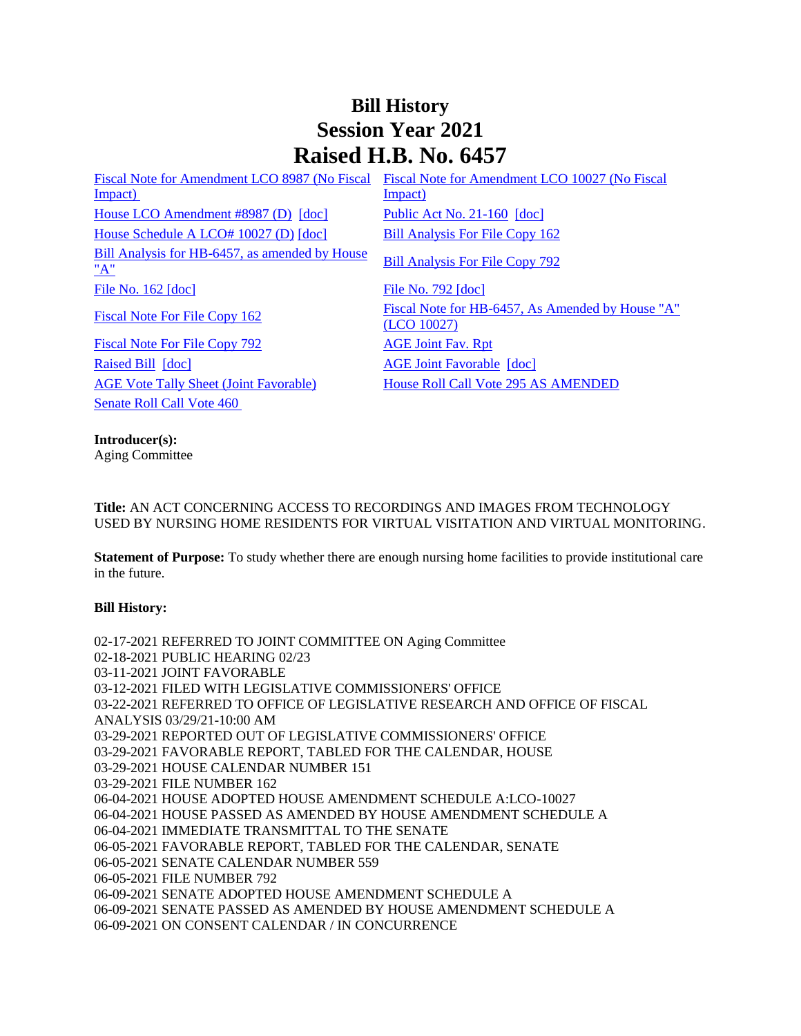# **Bill History Session Year 2021 Raised H.B. No. 6457**

[Impact\)](/2021/fna/pdf/2021HB-06457-R00LCO08987-FNA.pdf)  [House LCO Amendment #8987 \(D\)](/2021/lcoamd/pdf/2021LCO08987-R00-AMD.pdf) [\[doc\]](https://search.cga.state.ct.us/dl2021/PA/DOC/2021PA-00160-R00HB-06457-PA.DOCX) [Public Act No. 21-160](/2021/ACT/PA/PDF/2021PA-00160-R00HB-06457-PA.PDF) [doc] [House Schedule A LCO# 10027 \(D\)](/2021/amd/H/pdf/2021HB-06457-R00HA-AMD.pdf) [\[doc\]](https://search.cga.state.ct.us/dl2021/AMd/DOC/2021HB-06457-R00HA-AMD.Docx) [Bill Analysis For File Copy 162](/2021/BA/PDF/2021HB-06457-R000162-BA.PDF) [Bill Analysis for HB-6457, as amended by House](/2021/BA/PDF/2021HB-06457-R01-BA.PDF)  Bill Analysis for HB-0457, as amended by House<br>["A"](/2021/BA/PDF/2021HB-06457-R01-BA.PDF) [File No. 162](/2021/FC/PDF/2021HB-06457-R000162-FC.PDF) [\[doc\]](/2021/FC/PDF/2021HB-06457-R000792-FC.PDF) [File No. 792](/2021/FC/PDF/2021HB-06457-R000792-FC.PDF) [doc] [Fiscal Note For File Copy 792](/2021/FN/PDF/2021HB-06457-R010792-FN.PDF) [AGE Joint Fav. Rpt](/2021/JFR/H/PDF/2021HB-06457-R00AGE-JFR.PDF) [Raised Bill](/2021/TOB/H/PDF/2021HB-06457-R00-HB.PDF) [\[doc\]](https://search.cga.state.ct.us/dl2021/TOB/DOC/2021HB-06457-R01-HB.DOCX) **[AGE Joint Favorable](/2021/TOB/H/PDF/2021HB-06457-R01-HB.PDF) [doc]** [AGE Vote Tally Sheet \(Joint Favorable\)](/2021/TS/H/PDF/2021HB-06457-R00AGE-CV21-TS.PDF) [House Roll Call Vote 295 AS AMENDED](/2021/VOTE/H/PDF/2021HV-00295-R00HB06457-HV.PDF)  [Senate Roll Call Vote 460](/2021/VOTE/S/PDF/2021SV-00460-R00HB06457-SV.PDF) 

[Fiscal Note for Amendment LCO 8987 \(No Fiscal](/2021/fna/pdf/2021HB-06457-R00LCO08987-FNA.pdf)  [Fiscal Note for Amendment LCO 10027 \(No Fiscal](/2021/fna/pdf/2021HB-06457-R00LCO10027-FNA.PDF)  [Impact\)](/2021/fna/pdf/2021HB-06457-R00LCO10027-FNA.PDF) 

[Fiscal Note For File Copy 162](/2021/FN/PDF/2021HB-06457-R000162-FN.PDF) Fiscal Note for HB-6457, As Amended by House "A" [\(LCO 10027\)](/2021/FN/PDF/2021HB-06457-R01-FN.PDF)

## **Introducer(s):**

Aging Committee

**Title:** AN ACT CONCERNING ACCESS TO RECORDINGS AND IMAGES FROM TECHNOLOGY USED BY NURSING HOME RESIDENTS FOR VIRTUAL VISITATION AND VIRTUAL MONITORING.

**Statement of Purpose:** To study whether there are enough nursing home facilities to provide institutional care in the future.

## **Bill History:**

02-17-2021 REFERRED TO JOINT COMMITTEE ON Aging Committee 02-18-2021 PUBLIC HEARING 02/23 03-11-2021 JOINT FAVORABLE 03-12-2021 FILED WITH LEGISLATIVE COMMISSIONERS' OFFICE 03-22-2021 REFERRED TO OFFICE OF LEGISLATIVE RESEARCH AND OFFICE OF FISCAL ANALYSIS 03/29/21-10:00 AM 03-29-2021 REPORTED OUT OF LEGISLATIVE COMMISSIONERS' OFFICE 03-29-2021 FAVORABLE REPORT, TABLED FOR THE CALENDAR, HOUSE 03-29-2021 HOUSE CALENDAR NUMBER 151 03-29-2021 FILE NUMBER 162 06-04-2021 HOUSE ADOPTED HOUSE AMENDMENT SCHEDULE A:LCO-10027 06-04-2021 HOUSE PASSED AS AMENDED BY HOUSE AMENDMENT SCHEDULE A 06-04-2021 IMMEDIATE TRANSMITTAL TO THE SENATE 06-05-2021 FAVORABLE REPORT, TABLED FOR THE CALENDAR, SENATE 06-05-2021 SENATE CALENDAR NUMBER 559 06-05-2021 FILE NUMBER 792 06-09-2021 SENATE ADOPTED HOUSE AMENDMENT SCHEDULE A 06-09-2021 SENATE PASSED AS AMENDED BY HOUSE AMENDMENT SCHEDULE A 06-09-2021 ON CONSENT CALENDAR / IN CONCURRENCE